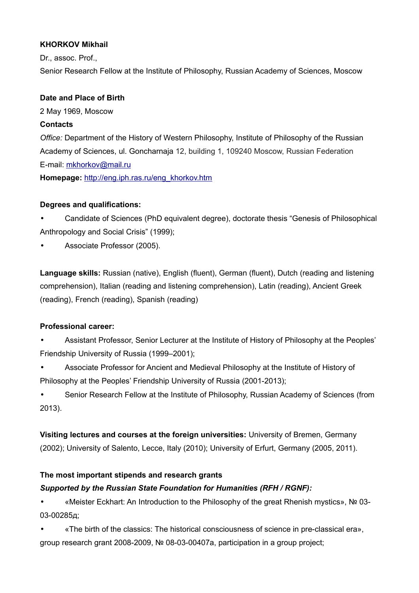## **KHORKOV Mikhail**

Dr., assoc. Prof.,

Senior Research Fellow at the Institute of Philosophy, Russian Academy of Sciences, Moscow

#### **Date and Place of Birth**

2 May 1969, Moscow

#### **Contacts**

*Office:* Department of the History of Western Philosophy, Institute of Philosophy of the Russian Academy of Sciences, ul. Goncharnaja 12, building 1, 109240 Moscow, Russian Federation E-mail: mkhorkov@mail.ru

**Homepage:** [http://eng.iph.ras.ru/eng\\_khorkov.htm](http://eng.iph.ras.ru/eng_khorkov.htm)

## **Degrees and qualifications:**

• Candidate of Sciences (PhD equivalent degree), doctorate thesis "Genesis of Philosophical Anthropology and Social Crisis" (1999);

• Associate Professor (2005).

**Language skills:** Russian (native), English (fluent), German (fluent), Dutch (reading and listening comprehension), Italian (reading and listening comprehension), Latin (reading), Ancient Greek (reading), French (reading), Spanish (reading)

## **Professional career:**

• Assistant Professor, Senior Lecturer at the Institute of History of Philosophy at the Peoples' Friendship University of Russia (1999–2001);

• Associate Professor for Ancient and Medieval Philosophy at the Institute of History of Philosophy at the Peoples' Friendship University of Russia (2001-2013);

• Senior Research Fellow at the Institute of Philosophy, Russian Academy of Sciences (from 2013).

**Visiting lectures and courses at the foreign universities:** University of Bremen, Germany (2002); University of Salento, Lecce, Italy (2010); University of Erfurt, Germany (2005, 2011).

## **The most important stipends and research grants**

## *Supported by the Russian State Foundation for Humanities (RFH / RGNF):*

• «Meister Eckhart: An Introduction to the Philosophy of the great Rhenish mystics», № 03- 03-00285д;

• «The birth of the classics: The historical consciousness of science in pre-classical era», group research grant 2008-2009, № 08-03-00407a, participation in a group project;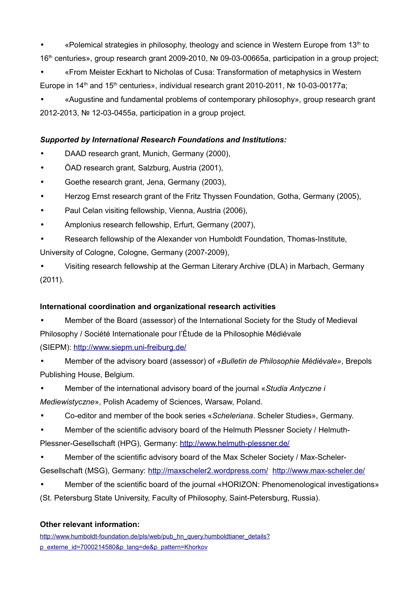«Polemical strategies in philosophy, theology and science in Western Europe from 13th to 16th centuries», group research grant 2009-2010, № 09-03-00665a, participation in a group project;

• «From Meister Eckhart to Nicholas of Cusa: Transformation of metaphysics in Western Europe in 14<sup>th</sup> and 15<sup>th</sup> centuries», individual research grant 2010-2011, № 10-03-00177a;

• «Augustine and fundamental problems of contemporary philosophy», group research grant 2012-2013, № 12-03-0455а, participation in a group project.

# *Supported by International Research Foundations and Institutions:*

- DAAD research grant, Munich, Germany (2000),
- ÖAD research grant, Salzburg, Austria (2001),
- Goethe research grant, Jena, Germany (2003),
- Herzog Ernst research grant of the Fritz Thyssen Foundation, Gotha, Germany (2005),
- Paul Celan visiting fellowship, Vienna, Austria (2006),
- Amplonius research fellowship, Erfurt, Germany (2007),
- Research fellowship of the Alexander von Humboldt Foundation, Thomas-Institute, University of Cologne, Cologne, Germany (2007-2009),
- Visiting research fellowship at the German Literary Archive (DLA) in Marbach, Germany (2011).

## **International coordination and organizational research activities**

- Member of the Board (assessor) of the International Society for the Study of Medieval Philosophy / Société Internationale pour l'Étude de la Philosophie Médiévale (SIEPM): <http://www.siepm.uni-freiburg.de/>
- Member of the advisory board (assessor) of *«Bulletin de Philosophie Médiévale»*, Brepols Publishing House, Belgium.
- Member of the international advisory board of the journal «*Studia Antyczne i Mediewistyczne*», Polish Academy of Sciences, Warsaw, Poland.
- Co-editor and member of the book series «*Scheleriana*. Scheler Studies», Germany.
- Member of the scientific advisory board of the Helmuth Plessner Society / Helmuth-

Plessner-Gesellschaft (HPG), Germany: <http://www.helmuth-plessner.de/>

- Member of the scientific advisory board of the Max Scheler Society / Max-Scheler-Gesellschaft (MSG), Germany: <http://maxscheler2.wordpress.com/><http://www.max-scheler.de/>
- Member of the scientific board of the journal «HORIZON: Phenomenological investigations» (St. Petersburg State University, Faculty of Philosophy, Saint-Petersburg, Russia).

## **Other relevant information:**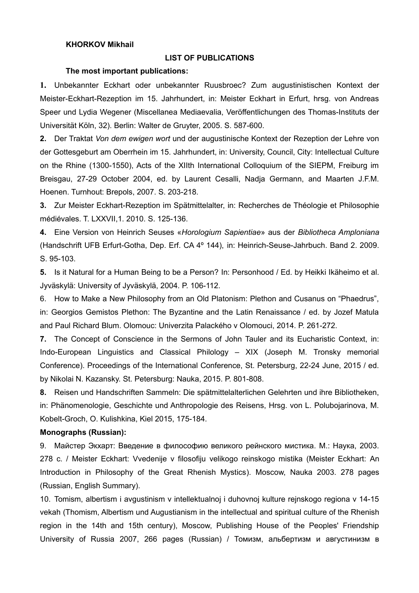#### **KHORKOV Mikhail**

#### **LIST OF PUBLICATIONS**

#### **The most important publications:**

**1.** Unbekannter Eckhart oder unbekannter Ruusbroec? Zum augustinistischen Kontext der Meister-Eckhart-Rezeption im 15. Jahrhundert, in: Meister Eckhart in Erfurt, hrsg. von Andreas Speer und Lydia Wegener (Miscellanea Mediaevalia, Veröffentlichungen des Thomas-Instituts der Universität Köln, 32). Berlin: Walter de Gruyter, 2005. S. 587-600.

**2.** Der Traktat *Von dem ewigen wort* und der augustinische Kontext der Rezeption der Lehre von der Gottesgeburt am Oberrhein im 15. Jahrhundert, in: University, Council, City: Intellectual Culture on the Rhine (1300-1550), Acts of the XIIth International Colloquium of the SIEPM, Freiburg im Breisgau, 27-29 October 2004, ed. by Laurent Cesalli, Nadja Germann, and Maarten J.F.M. Hoenen. Turnhout: Brepols, 2007. S. 203-218.

**3.** Zur Meister Eckhart-Rezeption im Spätmittelalter, in: Recherches de Théologie et Philosophie médiévales. T. LXXVII,1. 2010. S. 125-136.

**4.** Eine Version von Heinrich Seuses «*Horologium Sapientiae*» aus der *Bibliotheca Amploniana* (Handschrift UFB Erfurt-Gotha, Dep. Erf. CA 4º 144), in: Heinrich-Seuse-Jahrbuch. Band 2. 2009. S. 95-103.

**5.** Is it Natural for a Human Being to be a Person? In: Personhood / Ed. by Heikki Ikäheimo et al. Jyväskylä: University of Jyväskylä, 2004. P. 106-112.

6. How to Make a New Philosophy from an Old Platonism: Plethon and Cusanus on "Phaedrus", in: Georgios Gemistos Plethon: The Byzantine and the Latin Renaissance / ed. by Jozef Matula and Paul Richard Blum. Olomouc: Univerzita Palackého v Olomouci, 2014. P. 261-272.

**7.** The Concept of Conscience in the Sermons of John Tauler and its Eucharistic Context, in: Indo-European Linguistics and Classical Philology – XIX (Joseph M. Tronsky memorial Conference). Proceedings of the International Conference, St. Petersburg, 22-24 June, 2015 / ed. by Nikolai N. Kazansky. St. Petersburg: Nauka, 2015. P. 801-808.

**8.** Reisen und Handschriften Sammeln: Die spätmittelalterlichen Gelehrten und ihre Bibliotheken, in: Phänomenologie, Geschichte und Anthropologie des Reisens, Hrsg. von L. Polubojarinova, M. Kobelt-Groch, O. Kulishkina, Kiel 2015, 175-184.

#### **Monographs (Russian):**

9. Майстер Экхарт: Введение в философию великого рейнского мистика. М.: Наука, 2003. 278 с. / Meister Eckhart: Vvedenije v filosofiju velikogo reinskogo mistika (Meister Eckhart: An Introduction in Philosophy of the Great Rhenish Mystics). Moscow, Nauka 2003. 278 pages (Russian, English Summary).

10. Tomism, albertism i avgustinism v intellektualnoj i duhovnoj kulture rejnskogo regiona v 14-15 vekah (Thomism, Albertism und Augustianism in the intellectual and spiritual culture of the Rhenish region in the 14th and 15th century), Moscow, Publishing House of the Peoples' Friendship University of Russia 2007, 266 pages (Russian) / Томизм, альбертизм и августинизм в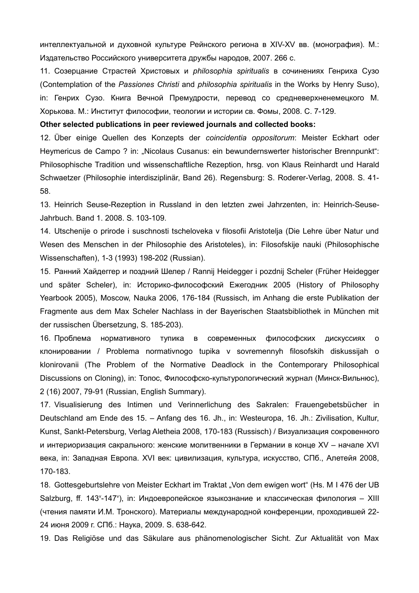интеллектуальной и духовной культуре Рейнского региона в XIV-XV вв. (монография). М.: Издательство Российского университета дружбы народов, 2007. 266 c.

11. Созерцание Страстей Христовых и *philosophia spiritualis* в сочинениях Генриха Сузо (Contemplation of the *Passiones Christi* and *philosophia spiritualis* in the Works by Henry Suso), in: Генрих Сузо. Книга Вечной Премудрости, перевод со средневерхненемецкого М. Хорькова. М.: Институт философии, теологии и истории св. Фомы, 2008. С. 7-129.

#### **Other selected publications in peer reviewed journals and collected books:**

12. Über einige Quellen des Konzepts der *coincidentia oppositorum*: Meister Eckhart oder Heymericus de Campo ? in: "Nicolaus Cusanus: ein bewundernswerter historischer Brennpunkt": Philosophische Tradition und wissenschaftliche Rezeption, hrsg. von Klaus Reinhardt und Harald Schwaetzer (Philosophie interdisziplinär, Band 26). Regensburg: S. Roderer-Verlag, 2008. S. 41- 58.

13. Heinrich Seuse-Rezeption in Russland in den letzten zwei Jahrzenten, in: Heinrich-Seuse-Jahrbuch. Band 1. 2008. S. 103-109.

14. Utschenije o prirode i suschnosti tscheloveka v filosofii Aristotelja (Die Lehre über Natur und Wesen des Menschen in der Philosophie des Aristoteles), in: Filosofskije nauki (Philosophische Wissenschaften), 1-3 (1993) 198-202 (Russian).

15. Ранний Хайдеггер и поздний Шелер / Rannij Heidegger i pozdnij Scheler (Früher Heidegger und später Scheler), in: Историко-философский Ежегодник 2005 (History of Philosophy Yearbook 2005), Moscow, Nauka 2006, 176-184 (Russisch, im Anhang die erste Publikation der Fragmente aus dem Max Scheler Nachlass in der Bayerischen Staatsbibliothek in München mit der russischen Übersetzung, S. 185-203).

16. Проблема нормативного тупика в современных философских дискуссиях о клонировании / Problema normativnogo tupika v sovremennyh filosofskih diskussijah o klonirovanii (The Problem of the Normative Deadlock in the Contemporary Philosophical Discussions on Cloning), in: Топос, Философско-культурологический журнал (Минск-Вильнюс), 2 (16) 2007, 79-91 (Russian, English Summary).

17. Visualisierung des Intimen und Verinnerlichung des Sakralen: Frauengebetsbücher in Deutschland am Ende des 15. – Anfang des 16. Jh., in: Westeuropa, 16. Jh.: Zivilisation, Kultur, Kunst, Sankt-Petersburg, Verlag Aletheia 2008, 170-183 (Russisch) / Визуализация сокровенного и интериоризация сакрального: женские молитвенники в Германии в конце XV – начале XVI века, in: Западная Европа. XVI век: цивилизация, культура, искусство, СПб., Алетейя 2008, 170-183.

18. Gottesgeburtslehre von Meister Eckhart im Traktat "Von dem ewigen wort" (Hs. M I 476 der UB Salzburg, ff. 143<sup>v</sup>-147<sup>v</sup>), in: Индоевропейское языкознание и классическая филология - XIII (чтения памяти И.М. Тронского). Материалы международной конференции, проходившей 22- 24 июня 2009 г. СПб.: Наука, 2009. S. 638-642.

19. Das Religiöse und das Säkulare aus phänomenologischer Sicht. Zur Aktualität von Max